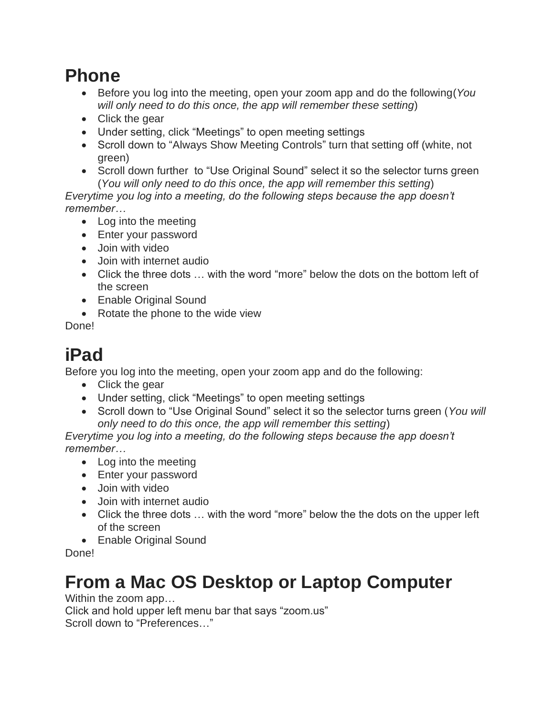### **Phone**

- Before you log into the meeting, open your zoom app and do the following(*You will only need to do this once, the app will remember these setting*)
- Click the gear
- Under setting, click "Meetings" to open meeting settings
- Scroll down to "Always Show Meeting Controls" turn that setting off (white, not green)
- Scroll down further to "Use Original Sound" select it so the selector turns green (*You will only need to do this once, the app will remember this setting*)

*Everytime you log into a meeting, do the following steps because the app doesn't remember…*

- Log into the meeting
- Enter your password
- Join with video
- Join with internet audio
- Click the three dots ... with the word "more" below the dots on the bottom left of the screen
- Enable Original Sound
- Rotate the phone to the wide view

Done!

# **iPad**

Before you log into the meeting, open your zoom app and do the following:

- Click the gear
- Under setting, click "Meetings" to open meeting settings
- Scroll down to "Use Original Sound" select it so the selector turns green (*You will only need to do this once, the app will remember this setting*)

*Everytime you log into a meeting, do the following steps because the app doesn't remember…*

- Log into the meeting
- Enter your password
- Join with video
- Join with internet audio
- Click the three dots ... with the word "more" below the the dots on the upper left of the screen
- Enable Original Sound

Done!

## **From a Mac OS Desktop or Laptop Computer**

Within the zoom app…

Click and hold upper left menu bar that says "zoom.us" Scroll down to "Preferences…"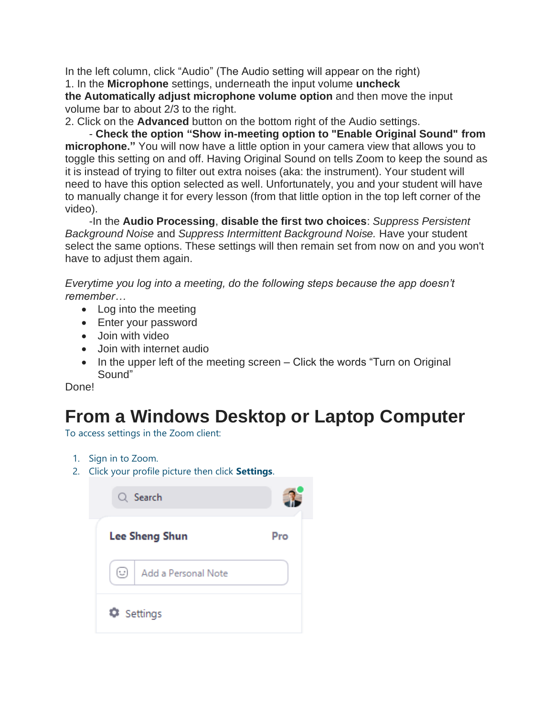In the left column, click "Audio" (The Audio setting will appear on the right) 1. In the **Microphone** settings, underneath the input volume **uncheck** 

**the Automatically adjust microphone volume option** and then move the input volume bar to about 2/3 to the right.

2. Click on the **Advanced** button on the bottom right of the Audio settings.

- **Check the option "Show in-meeting option to "Enable Original Sound" from microphone."** You will now have a little option in your camera view that allows you to toggle this setting on and off. Having Original Sound on tells Zoom to keep the sound as it is instead of trying to filter out extra noises (aka: the instrument). Your student will need to have this option selected as well. Unfortunately, you and your student will have to manually change it for every lesson (from that little option in the top left corner of the video).

-In the **Audio Processing**, **disable the first two choices**: *Suppress Persistent Background Noise* and *Suppress Intermittent Background Noise.* Have your student select the same options. These settings will then remain set from now on and you won't have to adjust them again.

*Everytime you log into a meeting, do the following steps because the app doesn't remember…*

- Log into the meeting
- Enter your password
- Join with video
- Join with internet audio
- In the upper left of the meeting screen Click the words "Turn on Original Sound"

Done!

### **From a Windows Desktop or Laptop Computer**

To access settings in the Zoom client:

- 1. Sign in to Zoom.
- 2. Click your profile picture then click **Settings**.

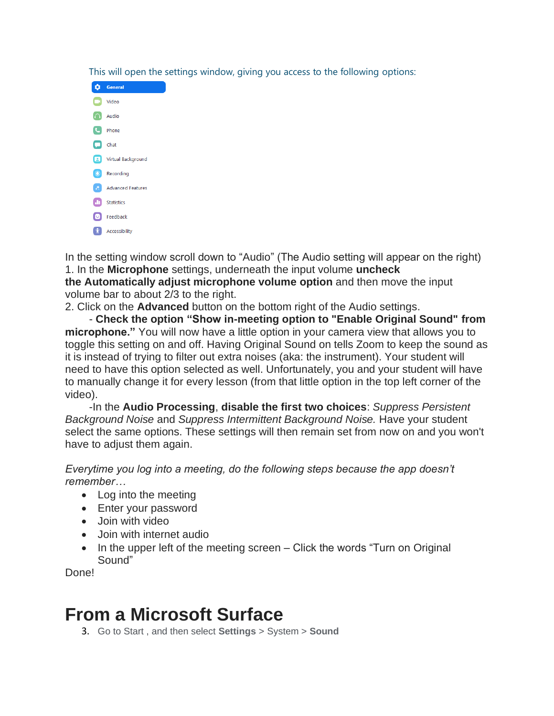This will open the settings window, giving you access to the following options:



In the setting window scroll down to "Audio" (The Audio setting will appear on the right) 1. In the **Microphone** settings, underneath the input volume **uncheck the Automatically adjust microphone volume option** and then move the input volume bar to about 2/3 to the right.

2. Click on the **Advanced** button on the bottom right of the Audio settings.

- **Check the option "Show in-meeting option to "Enable Original Sound" from microphone."** You will now have a little option in your camera view that allows you to toggle this setting on and off. Having Original Sound on tells Zoom to keep the sound as it is instead of trying to filter out extra noises (aka: the instrument). Your student will need to have this option selected as well. Unfortunately, you and your student will have to manually change it for every lesson (from that little option in the top left corner of the video).

-In the **Audio Processing**, **disable the first two choices**: *Suppress Persistent Background Noise* and *Suppress Intermittent Background Noise.* Have your student select the same options. These settings will then remain set from now on and you won't have to adjust them again.

*Everytime you log into a meeting, do the following steps because the app doesn't remember…*

- Log into the meeting
- Enter your password
- Join with video
- Join with internet audio
- In the upper left of the meeting screen Click the words "Turn on Original Sound"

Done!

### **From a Microsoft Surface**

3. Go to Start , and then select **Settings** > System > **Sound**